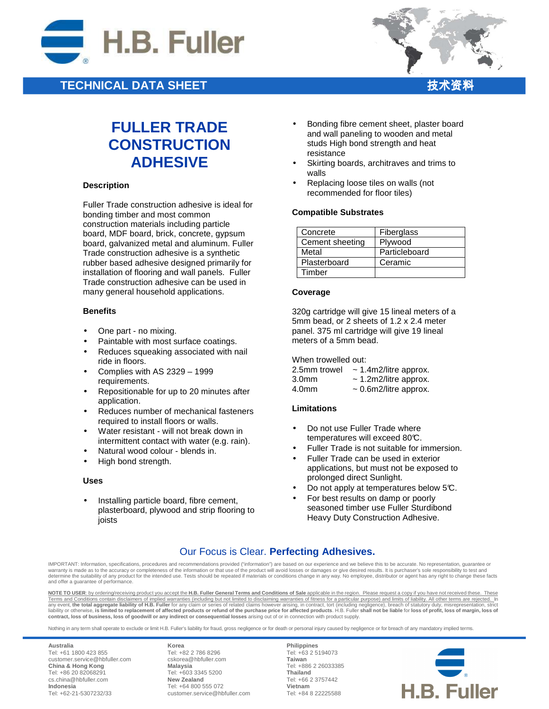

## **TECHNICAL DATA SHEET**



# **FULLER TRADE CONSTRUCTION ADHESIVE**

### **Description**

Fuller Trade construction adhesive is ideal for bonding timber and most common construction materials including particle board, MDF board, brick, concrete, gypsum board, galvanized metal and aluminum. Fuller Trade construction adhesive is a synthetic rubber based adhesive designed primarily for installation of flooring and wall panels. Fuller Trade construction adhesive can be used in many general household applications.

### **Benefits**

- One part no mixing.
- Paintable with most surface coatings.
- Reduces squeaking associated with nail ride in floors.
- Complies with AS 2329 1999 requirements.
- Repositionable for up to 20 minutes after application.
- Reduces number of mechanical fasteners required to install floors or walls.
- Water resistant will not break down in intermittent contact with water (e.g. rain).
- Natural wood colour blends in.
- High bond strength.

### **Uses**

• Installing particle board, fibre cement, plasterboard, plywood and strip flooring to joists

- Bonding fibre cement sheet, plaster board and wall paneling to wooden and metal studs High bond strength and heat resistance
- Skirting boards, architraves and trims to walls
- Replacing loose tiles on walls (not recommended for floor tiles)

### **Compatible Substrates**

| Concrete        | Fiberglass    |
|-----------------|---------------|
| Cement sheeting | Plywood       |
| Metal           | Particleboard |
| Plasterboard    | Ceramic       |
| Timber          |               |

#### **Coverage**

320g cartridge will give 15 lineal meters of a 5mm bead, or 2 sheets of 1.2 x 2.4 meter panel. 375 ml cartridge will give 19 lineal meters of a 5mm bead.

When trowelled out:

| 2.5mm trowel      | $\sim$ 1.4m2/litre approx. |
|-------------------|----------------------------|
| 3.0 <sub>mm</sub> | $\sim$ 1.2m2/litre approx. |

 $4.0$ mm  $\sim 0.6$ m $2$ /litre approx.

### **Limitations**

- Do not use Fuller Trade where temperatures will exceed 80°C.
- Fuller Trade is not suitable for immersion.
- Fuller Trade can be used in exterior applications, but must not be exposed to prolonged direct Sunlight.
- Do not apply at temperatures below 5°C.
- For best results on damp or poorly seasoned timber use Fuller Sturdibond Heavy Duty Construction Adhesive.

### Our Focus is Clear. **Perfecting Adhesives.**

IMPORTANT: Information, specifications, procedures and recommendations provided ("information") are based on our experience and we believe this to be accurate. No representation, guarantee or warranty is made as to the accuracy or completeness of the information or that use of the product will avoid losses or damages or give desired results. It is purchaser's sole responsibility to test and warranty is made as determine the suitability of any product for the intended use. Tests should be repeated if materials or conditions change in any way. No employee, distributor or agent has any right to change these facts and offer a guarantee of performance.

**NOTE TO USER**: by ordering/receiving product you accept the **H.B. Fuller General Terms and Conditions of Sale** applicable in the region. Please request a copy if you have not received these. These Terms and Conditions contain disclaimers of implied warranties (including but not limited to disclaiming warranties of fitness for a particular purpose) and limits of liability. All other terms are rejected. In<br>any event, **contract, loss of business, loss of goodwill or any indirect or consequential losses** arising out of or in connection with product supply.

Nothing in any term shall operate to exclude or limit H.B. Fuller's liability for fraud, gross negligence or for death or personal injury caused by negligence or for breach of any mandatory implied terms.

**Australia** Tel: +61 1800 423 855 customer.service@hbfuller.com **China & Hong Kong**  Tel: +86 20 82068291 cs.china@hbfuller.com **Indonesia**  Tel: +62-21-5307232/33

**Korea** Tel: +82 2 786 8296 cskorea@hbfuller.com **Malaysia**  Tel: +603 3345 5200 **New Zealand** Tel: +64 800 555 072 customer.service@hbfuller.com

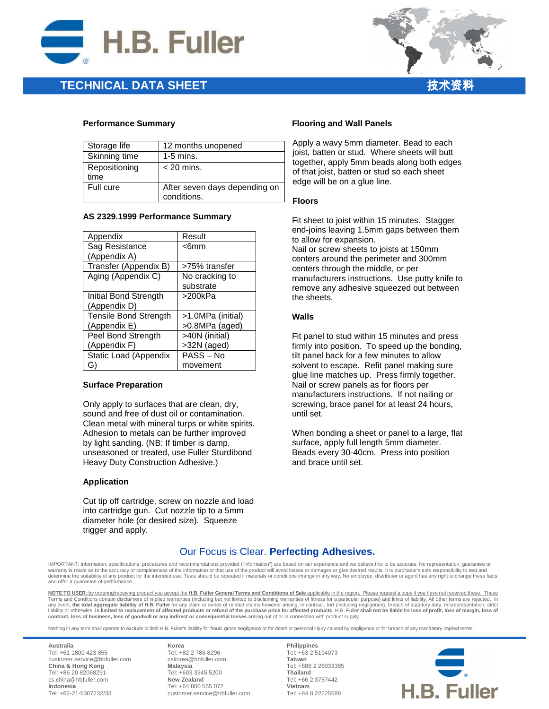

### **TECHNICAL DATA SHEET**



### **Performance Summary**

| Storage life          | 12 months unopened                           |
|-----------------------|----------------------------------------------|
| Skinning time         | $1-5$ mins.                                  |
| Repositioning<br>time | $<$ 20 mins.                                 |
| Full cure             | After seven days depending on<br>conditions. |

### **AS 2329.1999 Performance Summary**

| Appendix                     | Result            |
|------------------------------|-------------------|
| Sag Resistance               | <6mm              |
| (Appendix A)                 |                   |
| Transfer (Appendix B)        | >75% transfer     |
| Aging (Appendix C)           | No cracking to    |
|                              | substrate         |
| Initial Bond Strength        | >200kPa           |
| (Appendix D)                 |                   |
| <b>Tensile Bond Strength</b> | >1.0MPa (initial) |
| (Appendix E)                 | >0.8MPa (aged)    |
| Peel Bond Strength           | >40N (initial)    |
| (Appendix F)                 | >32N (aged)       |
| <b>Static Load (Appendix</b> | PASS-No           |
| G)                           | movement          |

### **Surface Preparation**

Only apply to surfaces that are clean, dry, sound and free of dust oil or contamination. Clean metal with mineral turps or white spirits. Adhesion to metals can be further improved by light sanding. (NB: If timber is damp, unseasoned or treated, use Fuller Sturdibond Heavy Duty Construction Adhesive.)

### **Application**

Cut tip off cartridge, screw on nozzle and load into cartridge gun. Cut nozzle tip to a 5mm diameter hole (or desired size). Squeeze trigger and apply.

### **Flooring and Wall Panels**

Apply a wavy 5mm diameter. Bead to each joist, batten or stud. Where sheets will butt together, apply 5mm beads along both edges of that joist, batten or stud so each sheet edge will be on a glue line.

### **Floors**

Fit sheet to joist within 15 minutes. Stagger end-joins leaving 1.5mm gaps between them to allow for expansion. Nail or screw sheets to joists at 150mm centers around the perimeter and 300mm centers through the middle, or per manufacturers instructions. Use putty knife to remove any adhesive squeezed out between the sheets.

### **Walls**

Fit panel to stud within 15 minutes and press firmly into position. To speed up the bonding, tilt panel back for a few minutes to allow solvent to escape. Refit panel making sure glue line matches up. Press firmly together. Nail or screw panels as for floors per manufacturers instructions. If not nailing or screwing, brace panel for at least 24 hours, until set.

When bonding a sheet or panel to a large, flat surface, apply full length 5mm diameter. Beads every 30-40cm. Press into position and brace until set.

### Our Focus is Clear. **Perfecting Adhesives.**

IMPORTANT: Information, specifications, procedures and recommendations provided ("information") are based on our experience and we believe this to be accurate. No representation, guarantee or warranty is made as to the accuracy or completeness of the information or that use of the product will avoid losses or damages or give desired results. It is purchaser's sole responsibility to test and warranty is made as determine the suitability of any product for the intended use. Tests should be repeated if materials or conditions change in any way. No employee, distributor or agent has any right to change these facts and offer a guarantee of performance.

**NOTE TO USER**: by ordering/receiving product you accept the **H.B. Fuller General Terms and Conditions of Sale** applicable in the region. Please request a copy if you have not received these. These Terms and Conditions contain disclaimers of implied warranties (including but not limited to disclaiming warranties of fitness for a particular purpose) and limits of liability. All other terms are rejected. In<br>any event, **contract, loss of business, loss of goodwill or any indirect or consequential losses** arising out of or in connection with product supply.

Nothing in any term shall operate to exclude or limit H.B. Fuller's liability for fraud, gross negligence or for death or personal injury caused by negligence or for breach of any mandatory implied terms.

**Australia** Tel: +61 1800 423 855 customer.service@hbfuller.com **China & Hong Kong**  Tel: +86 20 82068291 cs.china@hbfuller.com **Indonesia**  Tel: +62-21-5307232/33

**Korea** Tel: +82 2 786 8296 cskorea@hbfuller.com **Malaysia**  Tel: +603 3345 5200 **New Zealand** Tel: +64 800 555 072 customer.service@hbfuller.com

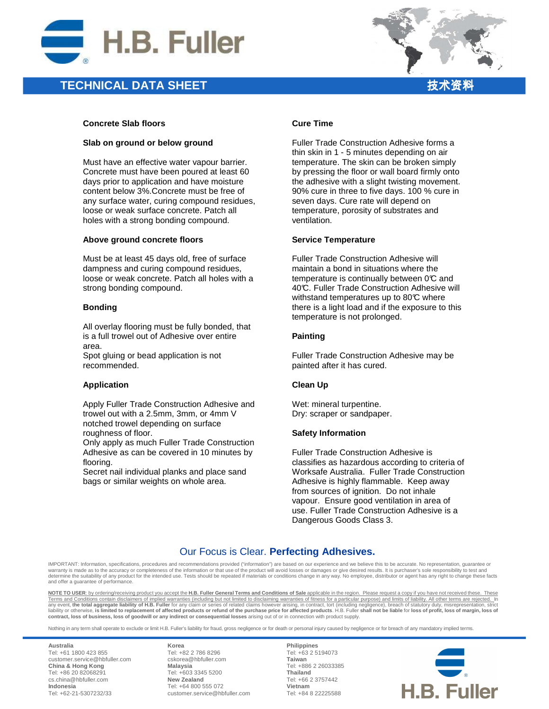

### **TECHNICAL DATA SHEET**

### **Concrete Slab floors**

#### **Slab on ground or below ground**

Must have an effective water vapour barrier. Concrete must have been poured at least 60 days prior to application and have moisture content below 3%.Concrete must be free of any surface water, curing compound residues, loose or weak surface concrete. Patch all holes with a strong bonding compound.

#### **Above ground concrete floors**

Must be at least 45 days old, free of surface dampness and curing compound residues, loose or weak concrete. Patch all holes with a strong bonding compound.

#### **Bonding**

All overlay flooring must be fully bonded, that is a full trowel out of Adhesive over entire area.

Spot gluing or bead application is not recommended.

### **Application**

Apply Fuller Trade Construction Adhesive and trowel out with a 2.5mm, 3mm, or 4mm V notched trowel depending on surface roughness of floor.

Only apply as much Fuller Trade Construction Adhesive as can be covered in 10 minutes by flooring.

Secret nail individual planks and place sand bags or similar weights on whole area.

### **Cure Time**

Fuller Trade Construction Adhesive forms a thin skin in 1 - 5 minutes depending on air temperature. The skin can be broken simply by pressing the floor or wall board firmly onto the adhesive with a slight twisting movement. 90% cure in three to five days. 100 % cure in seven days. Cure rate will depend on temperature, porosity of substrates and ventilation.

#### **Service Temperature**

Fuller Trade Construction Adhesive will maintain a bond in situations where the temperature is continually between  $0\mathfrak{C}$  and 40℃. Fuller Trade Construction Adhesive will withstand temperatures up to  $80^{\circ}$  where there is a light load and if the exposure to this temperature is not prolonged.

### **Painting**

Fuller Trade Construction Adhesive may be painted after it has cured.

### **Clean Up**

Wet: mineral turpentine. Dry: scraper or sandpaper.

### **Safety Information**

Fuller Trade Construction Adhesive is classifies as hazardous according to criteria of Worksafe Australia. Fuller Trade Construction Adhesive is highly flammable. Keep away from sources of ignition. Do not inhale vapour. Ensure good ventilation in area of use. Fuller Trade Construction Adhesive is a Dangerous Goods Class 3.

### Our Focus is Clear. **Perfecting Adhesives.**

IMPORTANT: Information, specifications, procedures and recommendations provided ("information") are based on our experience and we believe this to be accurate. No representation, guarantee or warranty is made as to the accuracy or completeness of the information or that use of the product will avoid losses or damages or give desired results. It is purchaser's sole responsibility to test and warranty is made as ne the suitability of any product for the intended use. Tests should be repeated if materials or conditions change in any way. No employee, distributor or agent has any right to change these facts and offer a guarantee of performance.

**NOTE TO USER**: by ordering/receiving product you accept the **H.B. Fuller General Terms and Conditions of Sale** applicable in the region. Please request a copy if you have not received these. These Terms and Conditions contain disclaimers of implied warranties (including but not limited to disclaiming warranties of fitness for a particular purpose) and limits of liability. All other terms are rejected. In<br>any event, **contract, loss of business, loss of goodwill or any indirect or consequential losses** arising out of or in connection with product supply.

Nothing in any term shall operate to exclude or limit H.B. Fuller's liability for fraud, gross negligence or for death or personal injury caused by negligence or for breach of any mandatory implied terms.

**Australia** Tel: +61 1800 423 855 customer.service@hbfuller.com **China & Hong Kong**  Tel: +86 20 82068291 cs.china@hbfuller.com **Indonesia**  Tel: +62-21-5307232/33

**Korea** Tel: +82 2 786 8296 cskorea@hbfuller.com **Malaysia**  Tel: +603 3345 5200 **New Zealand** Tel: +64 800 555 072 customer.service@hbfuller.com